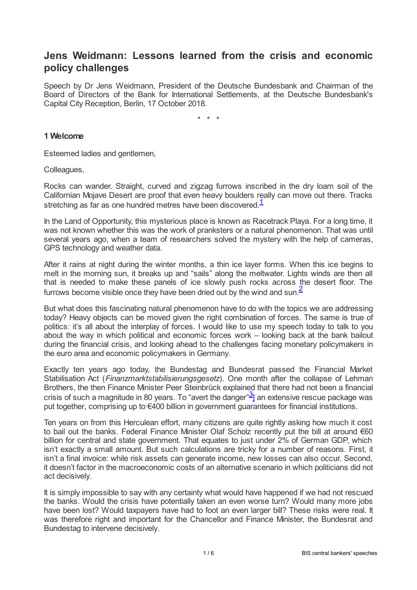# **Jens Weidmann: Lessons learned from the crisis and economic policy challenges**

Speech by Dr Jens Weidmann, President of the Deutsche Bundesbank and Chairman of the Board of Directors of the Bank for International Settlements, at the Deutsche Bundesbank's Capital City Reception, Berlin, 17 October 2018.

<span id="page-0-1"></span><span id="page-0-0"></span>\* \* \*

### **1 Welcome**

Esteemed ladies and gentlemen,

Colleagues,

Rocks can wander. Straight, curved and zigzag furrows inscribed in the dry loam soil of the Californian Mojave Desert are proof that even heavy boulders really can move out there. Tracks stretching as far as one hundred metres have been discovered.<sup>[1](#page-4-0)</sup>

In the Land of Opportunity, this mysterious place is known as Racetrack Playa. For a long time, it was not known whether this was the work of pranksters or a natural phenomenon. That was until several years ago, when a team of researchers solved the mystery with the help of cameras, GPS technology and weather data.

After it rains at night during the winter months, a thin ice layer forms. When this ice begins to melt in the morning sun, it breaks up and "sails" along the meltwater. Lights winds are then all that is needed to make these panels of ice slowly push rocks across the desert floor. The furrows become visible once they have been dried out by the wind and sun. $\frac{2}{3}$  $\frac{2}{3}$  $\frac{2}{3}$ 

But what does this fascinating natural phenomenon have to do with the topics we are addressing today? Heavy objects can be moved given the right combination of forces. The same is true of politics: it's all about the interplay of forces. I would like to use my speech today to talk to you about the way in which political and economic forces work – looking back at the bank bailout during the financial crisis, and looking ahead to the challenges facing monetary policymakers in the euro area and economic policymakers in Germany.

<span id="page-0-2"></span>Exactly ten years ago today, the Bundestag and Bundesrat passed the Financial Market Stabilisation Act (*Finanzmarktstabilisierungsgesetz*). One month after the collapse of Lehman Brothers, the then Finance Minister Peer Steinbrück explained that there had not been a financial crisis of such a magnitude in 80 years. To "avert the danger" $\frac{3}{2}$  $\frac{3}{2}$  $\frac{3}{2}$  an extensive rescue package was put together, comprising up to €400 billion in government guarantees for financial institutions.

Ten years on from this Herculean effort, many citizens are quite rightly asking how much it cost to bail out the banks. Federal Finance Minister Olaf Scholz recently put the bill at around €60 billion for central and state government. That equates to just under 2% of German GDP, which isn't exactly a small amount. But such calculations are tricky for a number of reasons. First, it isn't a final invoice: while risk assets can generate income, new losses can also occur. Second, it doesn't factor in the macroeconomic costs of an alternative scenario in which politicians did not act decisively.

It is simply impossible to say with any certainty what would have happened if we had not rescued the banks. Would the crisis have potentially taken an even worse turn? Would many more jobs have been lost? Would taxpayers have had to foot an even larger bill? These risks were real. It was therefore right and important for the Chancellor and Finance Minister, the Bundesrat and Bundestag to intervene decisively.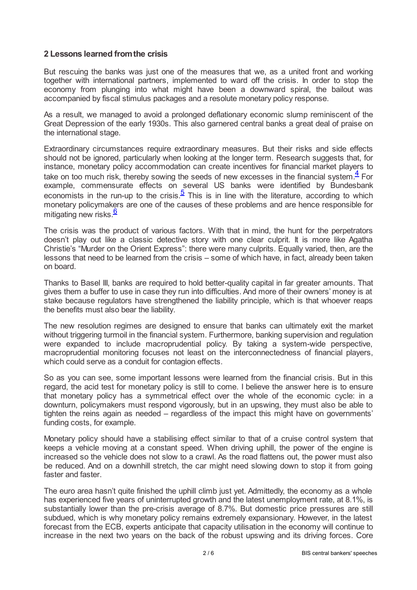### **2 Lessons learned fromthe crisis**

But rescuing the banks was just one of the measures that we, as a united front and working together with international partners, implemented to ward off the crisis. In order to stop the economy from plunging into what might have been a downward spiral, the bailout was accompanied by fiscal stimulus packages and a resolute monetary policy response.

As a result, we managed to avoid a prolonged deflationary economic slump reminiscent of the Great Depression of the early 1930s. This also garnered central banks a great deal of praise on the international stage.

<span id="page-1-0"></span>Extraordinary circumstances require extraordinary measures. But their risks and side effects should not be ignored, particularly when looking at the longer term. Research suggests that, for instance, monetary policy accommodation can create incentives for financial market players to take on too much risk, thereby sowing the seeds of new excesses in the financial system. $4$  For example, commensurate effects on several US banks were identified by Bundesbank economists in the run-up to the crisis. $\frac{5}{2}$  $\frac{5}{2}$  $\frac{5}{2}$  This is in line with the literature, according to which monetary policymakers are one of the causes of these problems and are hence responsible for mitigating new risks.<sup>[6](#page-4-5)</sup>

<span id="page-1-2"></span><span id="page-1-1"></span>The crisis was the product of various factors. With that in mind, the hunt for the perpetrators doesn't play out like a classic detective story with one clear culprit. It is more like Agatha Christie's "Murder on the Orient Express": there were many culprits. Equally varied, then, are the lessons that need to be learned from the crisis – some of which have, in fact, already been taken on board.

Thanks to Basel III, banks are required to hold better-quality capital in far greater amounts. That gives them a buffer to use in case they run into difficulties. And more of their owners' money is at stake because regulators have strengthened the liability principle, which is that whoever reaps the benefits must also bear the liability.

The new resolution regimes are designed to ensure that banks can ultimately exit the market without triggering turmoil in the financial system. Furthermore, banking supervision and regulation were expanded to include macroprudential policy. By taking a system-wide perspective, macroprudential monitoring focuses not least on the interconnectedness of financial players, which could serve as a conduit for contagion effects.

So as you can see, some important lessons were learned from the financial crisis. But in this regard, the acid test for monetary policy is still to come. I believe the answer here is to ensure that monetary policy has a symmetrical effect over the whole of the economic cycle: in a downturn, policymakers must respond vigorously, but in an upswing, they must also be able to tighten the reins again as needed – regardless of the impact this might have on governments' funding costs, for example.

Monetary policy should have a stabilising effect similar to that of a cruise control system that keeps a vehicle moving at a constant speed. When driving uphill, the power of the engine is increased so the vehicle does not slow to a crawl. As the road flattens out, the power must also be reduced. And on a downhill stretch, the car might need slowing down to stop it from going faster and faster.

The euro area hasn't quite finished the uphill climb just yet. Admittedly, the economy as a whole has experienced five years of uninterrupted growth and the latest unemployment rate, at 8.1%, is substantially lower than the pre-crisis average of 8.7%. But domestic price pressures are still subdued, which is why monetary policy remains extremely expansionary. However, in the latest forecast from the ECB, experts anticipate that capacity utilisation in the economy will continue to increase in the next two years on the back of the robust upswing and its driving forces. Core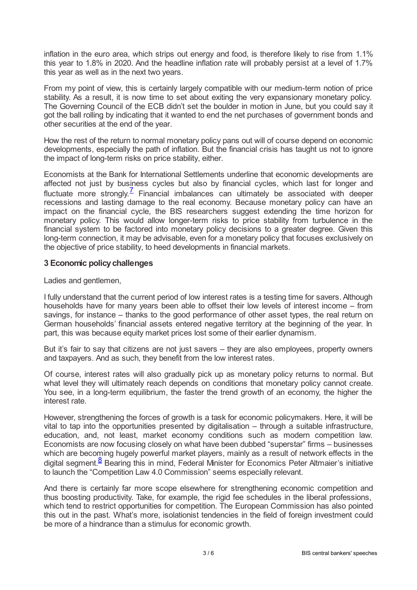inflation in the euro area, which strips out energy and food, is therefore likely to rise from 1.1% this year to 1.8% in 2020. And the headline inflation rate will probably persist at a level of 1.7% this year as well as in the next two years.

From my point of view, this is certainly largely compatible with our medium-term notion of price stability. As a result, it is now time to set about exiting the very expansionary monetary policy. The Governing Council of the ECB didn't set the boulder in motion in June, but you could say it got the ball rolling by indicating that it wanted to end the net purchases of government bonds and other securities at the end of the year.

How the rest of the return to normal monetary policy pans out will of course depend on economic developments, especially the path of inflation. But the financial crisis has taught us not to ignore the impact of long-term risks on price stability, either.

<span id="page-2-0"></span>Economists at the Bank for International Settlements underline that economic developments are affected not just by business cycles but also by financial cycles, which last for longer and fluctuate more strongly. $\frac{7}{5}$  $\frac{7}{5}$  $\frac{7}{5}$  Financial imbalances can ultimately be associated with deeper recessions and lasting damage to the real economy. Because monetary policy can have an impact on the financial cycle, the BIS researchers suggest extending the time horizon for monetary policy. This would allow longer-term risks to price stability from turbulence in the financial system to be factored into monetary policy decisions to a greater degree. Given this long-term connection, it may be advisable, even for a monetary policy that focuses exclusively on the objective of price stability, to heed developments in financial markets.

## **3 Economic policychallenges**

#### Ladies and gentlemen,

I fully understand that the current period of low interest rates is a testing time for savers. Although households have for many years been able to offset their low levels of interest income – from savings, for instance – thanks to the good performance of other asset types, the real return on German households' financial assets entered negative territory at the beginning of the year. In part, this was because equity market prices lost some of their earlier dynamism.

But it's fair to say that citizens are not just savers – they are also employees, property owners and taxpayers. And as such, they benefit from the low interest rates.

Of course, interest rates will also gradually pick up as monetary policy returns to normal. But what level they will ultimately reach depends on conditions that monetary policy cannot create. You see, in a long-term equilibrium, the faster the trend growth of an economy, the higher the interest rate.

However, strengthening the forces of growth is a task for economic policymakers. Here, it will be vital to tap into the opportunities presented by digitalisation – through a suitable infrastructure, education, and, not least, market economy conditions such as modern competition law. Economists are now focusing closely on what have been dubbed "superstar" firms – businesses which are becoming hugely powerful market players, mainly as a result of network effects in the digital segment.<sup>[8](#page-4-7)</sup> Bearing this in mind, Federal Minister for Economics Peter Altmaier's initiative to launch the "Competition Law 4.0 Commission" seems especially relevant.

<span id="page-2-1"></span>And there is certainly far more scope elsewhere for strengthening economic competition and thus boosting productivity. Take, for example, the rigid fee schedules in the liberal professions, which tend to restrict opportunities for competition. The European Commission has also pointed this out in the past. What's more, isolationist tendencies in the field of foreign investment could be more of a hindrance than a stimulus for economic growth.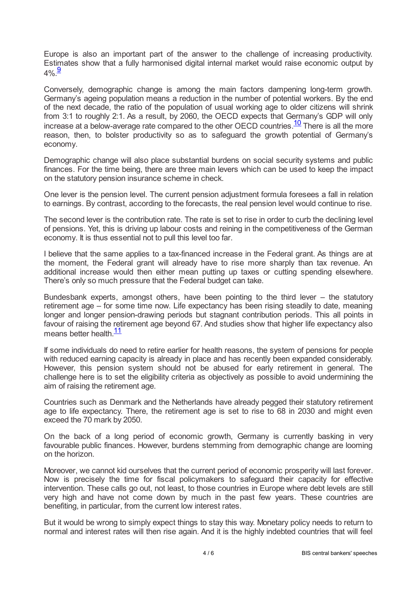Europe is also an important part of the answer to the challenge of increasing productivity. Estimates show that a fully harmonised digital internal market would raise economic output by  $4\%$ . $\frac{9}{5}$  $\frac{9}{5}$  $\frac{9}{5}$ 

<span id="page-3-0"></span>Conversely, demographic change is among the main factors dampening long-term growth. Germany's ageing population means a reduction in the number of potential workers. By the end of the next decade, the ratio of the population of usual working age to older citizens will shrink from 3:1 to roughly 2:1. As a result, by 2060, the OECD expects that Germany's GDP will only increase at a below-average rate compared to the other OECD countries.  $\frac{10}{10}$  $\frac{10}{10}$  $\frac{10}{10}$  There is all the more reason, then, to bolster productivity so as to safeguard the growth potential of Germany's economy.

<span id="page-3-1"></span>Demographic change will also place substantial burdens on social security systems and public finances. For the time being, there are three main levers which can be used to keep the impact on the statutory pension insurance scheme in check.

One lever is the pension level. The current pension adjustment formula foresees a fall in relation to earnings. By contrast, according to the forecasts, the real pension level would continue to rise.

The second lever is the contribution rate. The rate is set to rise in order to curb the declining level of pensions. Yet, this is driving up labour costs and reining in the competitiveness of the German economy. It is thus essential not to pull this level too far.

I believe that the same applies to a tax-financed increase in the Federal grant. As things are at the moment, the Federal grant will already have to rise more sharply than tax revenue. An additional increase would then either mean putting up taxes or cutting spending elsewhere. There's only so much pressure that the Federal budget can take.

Bundesbank experts, amongst others, have been pointing to the third lever – the statutory retirement age – for some time now. Life expectancy has been rising steadily to date, meaning longer and longer pension-drawing periods but stagnant contribution periods. This all points in favour of raising the retirement age beyond 67. And studies show that higher life expectancy also means better health.<sup>[11](#page-5-0)</sup>

<span id="page-3-2"></span>If some individuals do need to retire earlier for health reasons, the system of pensions for people with reduced earning capacity is already in place and has recently been expanded considerably. However, this pension system should not be abused for early retirement in general. The challenge here is to set the eligibility criteria as objectively as possible to avoid undermining the aim of raising the retirement age.

Countries such as Denmark and the Netherlands have already pegged their statutory retirement age to life expectancy. There, the retirement age is set to rise to 68 in 2030 and might even exceed the 70 mark by 2050.

On the back of a long period of economic growth, Germany is currently basking in very favourable public finances. However, burdens stemming from demographic change are looming on the horizon.

Moreover, we cannot kid ourselves that the current period of economic prosperity will last forever. Now is precisely the time for fiscal policymakers to safeguard their capacity for effective intervention. These calls go out, not least, to those countries in Europe where debt levels are still very high and have not come down by much in the past few years. These countries are benefiting, in particular, from the current low interest rates.

But it would be wrong to simply expect things to stay this way. Monetary policy needs to return to normal and interest rates will then rise again. And it is the highly indebted countries that will feel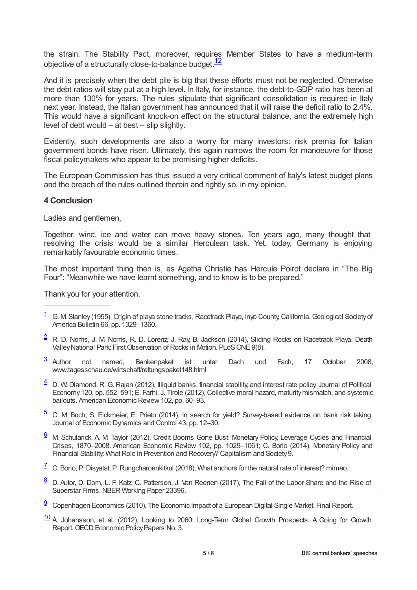<span id="page-4-10"></span>the strain. The Stability Pact, moreover, requires Member States to have a medium-term objective of a structurally close-to-balance budget.<sup>[12](#page-5-1)</sup>

And it is precisely when the debt pile is big that these efforts must not be neglected. Otherwise the debt ratios will stay put at a high level. In Italy, for instance, the debt-to-GDP ratio has been at more than 130% for years. The rules stipulate that significant consolidation is required in Italy next year. Instead, the Italian government has announced that it will raise the deficit ratio to 2.4%. This would have a significant knock-on effect on the structural balance, and the extremely high level of debt would – at best – slip slightly.

Evidently, such developments are also a worry for many investors: risk premia for Italian government bonds have risen. Ultimately, this again narrows the room for manoeuvre for those fiscal policymakers who appear to be promising higher deficits.

The European Commission has thus issued a very critical comment of Italy's latest budget plans and the breach of the rules outlined therein and rightly so, in my opinion.

#### **4 Conclusion**

Ladies and gentlemen,

Together, wind, ice and water can move heavy stones. Ten years ago, many thought that resolving the crisis would be a similar Herculean task. Yet, today, Germany is enjoying remarkably favourable economic times.

The most important thing then is, as Agatha Christie has Hercule Poirot declare in "The Big Four": "Meanwhile we have learnt something, and to know is to be prepared."

Thank you for your attention.

- <span id="page-4-1"></span> $\frac{2}{3}$  $\frac{2}{3}$  $\frac{2}{3}$  R. D. Norris, J. M. Norris, R. D. Lorenz, J. Ray, B. Jackson (2014), Sliding Rocks on Racetrack Playa, Death Valley National Park: First Observation of Rocks in Motion. PLoS ONE 9(8).
- <span id="page-4-2"></span>not named, Bankenpaket ist unter Dach und Fach, 17 October 2008, www.tagesschau.de/wirtschaft/rettungspaket148.html  $\frac{3}{2}$  $\frac{3}{2}$  $\frac{3}{2}$  Author
- <span id="page-4-3"></span> $\frac{4}{2}$  $\frac{4}{2}$  $\frac{4}{2}$  D. W. Diamond, R. G. Rajan (2012), Illiquid banks, financial stability, and interest rate policy. Journal of Political Economy120, pp. 552–591; E. Farhi, J. Tirole (2012), Collective moral hazard, maturitymismatch, and systemic bailouts. American Economic Review 102, pp. 60–93.
- <span id="page-4-4"></span> $5$  C. M. Buch, S. Eickmeier, E. Prieto (2014), In search for yield? Survey-based evidence on bank risk taking. Journal of Economic Dynamics and Control 43, pp. 12–30.
- <span id="page-4-5"></span> $6$  M. Schularick, A. M. Taylor (2012), Credit Booms Gone Bust: Monetary Policy, Leverage Cycles and Financial Crises, 1870–2008. American Economic Review 102, pp. 1029–1061; C. Borio (2014), Monetary Policy and Financial Stability: What Role in Prevention and Recovery? Capitalism and Society 9.
- <span id="page-4-6"></span> $\frac{7}{1}$  $\frac{7}{1}$  $\frac{7}{1}$  C. Borio, P. Disyatat, P. Rungcharoenkitkul (2018), What anchors for the natural rate of interest? mimeo.
- <span id="page-4-7"></span> $\frac{8}{2}$  $\frac{8}{2}$  $\frac{8}{2}$  D. Autor, D. Dorn, L. F. Katz, C. Patterson, J. Van Reenen (2017), The Fall of the Labor Share and the Rise of Superstar Firms. NBER Working Paper 23396.
- <span id="page-4-8"></span> $\frac{9}{2}$  $\frac{9}{2}$  $\frac{9}{2}$  Copenhagen Economics (2010), The Economic Impact of a European Digital Single Market, Final Report.
- <span id="page-4-9"></span>[10](#page-3-1) Å Johansson, et al. (2012), Looking to 2060: Long-Term Global Growth Prospects: A Going for Growth Report. OECD Economic Policy Papers No. 3.

<span id="page-4-0"></span> $\frac{1}{1}$  $\frac{1}{1}$  $\frac{1}{1}$  G. M. Stanley (1955), Origin of playa stone tracks, Racetrack Playa, Inyo County, California. Geological Society of America Bulletin 66, pp. 1329–1360.